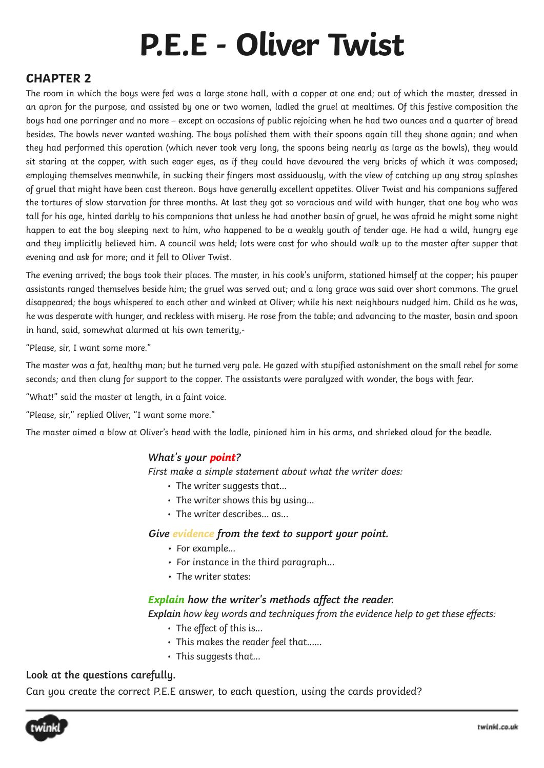# **P.E.E - Oliver Twist**

# **CHAPTER 2**

The room in which the boys were fed was a large stone hall, with a copper at one end; out of which the master, dressed in an apron for the purpose, and assisted by one or two women, ladled the gruel at mealtimes. Of this festive composition the boys had one porringer and no more – except on occasions of public rejoicing when he had two ounces and a quarter of bread besides. The bowls never wanted washing. The boys polished them with their spoons again till they shone again; and when they had performed this operation (which never took very long, the spoons being nearly as large as the bowls), they would sit staring at the copper, with such eager eyes, as if they could have devoured the very bricks of which it was composed; employing themselves meanwhile, in sucking their fingers most assiduously, with the view of catching up any stray splashes of gruel that might have been cast thereon. Boys have generally excellent appetites. Oliver Twist and his companions suffered the tortures of slow starvation for three months. At last they got so voracious and wild with hunger, that one boy who was tall for his age, hinted darkly to his companions that unless he had another basin of gruel, he was afraid he might some night happen to eat the boy sleeping next to him, who happened to be a weakly youth of tender age. He had a wild, hungry eye and they implicitly believed him. A council was held; lots were cast for who should walk up to the master after supper that evening and ask for more; and it fell to Oliver Twist.

The evening arrived; the boys took their places. The master, in his cook's uniform, stationed himself at the copper; his pauper assistants ranged themselves beside him; the gruel was served out; and a long grace was said over short commons. The gruel disappeared; the boys whispered to each other and winked at Oliver; while his next neighbours nudged him. Child as he was, he was desperate with hunger, and reckless with misery. He rose from the table; and advancing to the master, basin and spoon in hand, said, somewhat alarmed at his own temerity,-

"Please, sir, I want some more."

The master was a fat, healthy man; but he turned very pale. He gazed with stupified astonishment on the small rebel for some seconds; and then clung for support to the copper. The assistants were paralyzed with wonder, the boys with fear.

- "What!" said the master at length, in a faint voice.
- "Please, sir," replied Oliver, "I want some more."

The master aimed a blow at Oliver's head with the ladle, pinioned him in his arms, and shrieked aloud for the beadle.

#### **What's your point?**

First make a simple statement about what the writer does:

- The writer suggests that...
- The writer shows this by using...
- The writer describes... as...

#### **Give evidence from the text to support your point.**

- For example...
- For instance in the third paragraph...
- The writer states:

#### **Explain how the writer's methods affect the reader.**

**Explain** how key words and techniques from the evidence help to get these effects:

- The effect of this is...
- This makes the reader feel that......
- This suggests that...

#### **Look at the questions carefully.**

Can you create the correct P.E.E answer, to each question, using the cards provided?

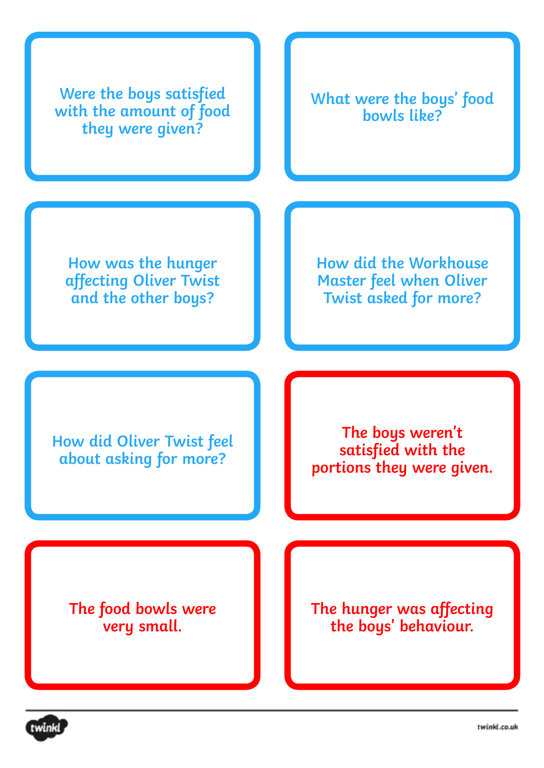

twink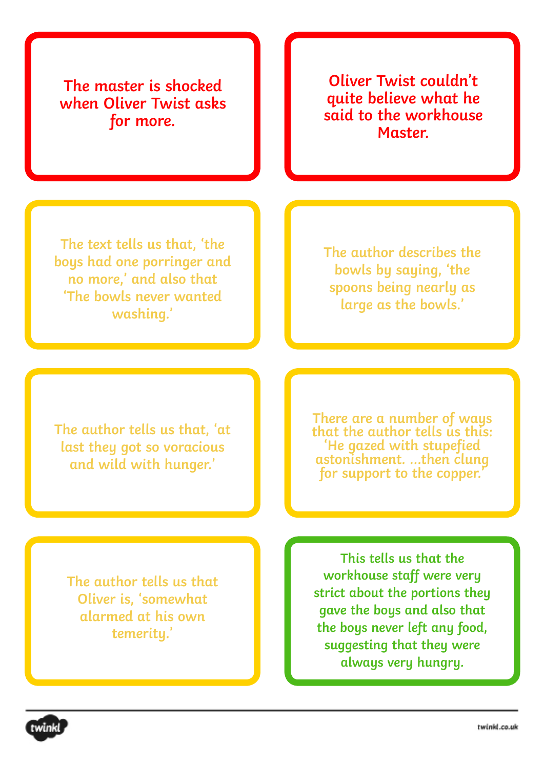**The master is shocked when Oliver Twist asks for more.**

**Oliver Twist couldn't quite believe what he said to the workhouse Master.**

**The text tells us that, 'the boys had one porringer and no more,' and also that 'The bowls never wanted washing.'**

**The author describes the bowls by saying, 'the spoons being nearly as large as the bowls.'**

**The author tells us that, 'at last they got so voracious and wild with hunger.'**

**There are a number of ways that the author tells us this: 'He gazed with stupefied astonishment. …then clung for support to the copper.'**

**The author tells us that Oliver is, 'somewhat alarmed at his own temerity.'**

**This tells us that the workhouse staff were very strict about the portions they gave the boys and also that the boys never left any food, suggesting that they were always very hungry.**

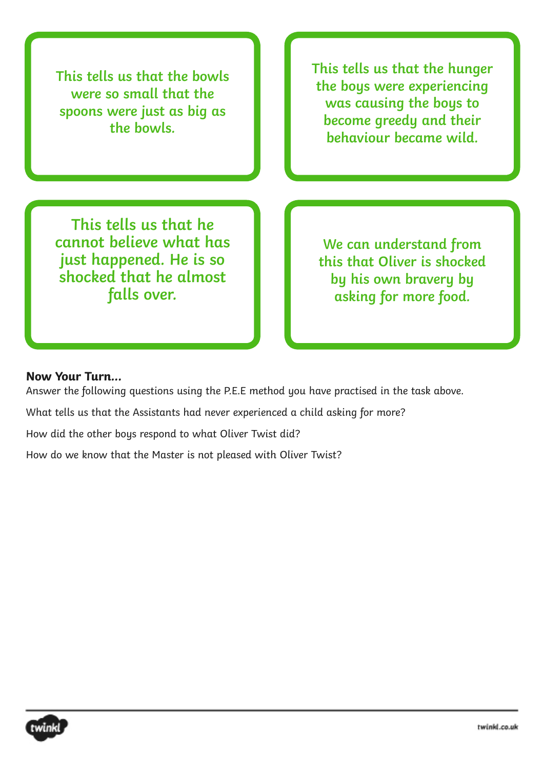**This tells us that the bowls were so small that the spoons were just as big as the bowls.**

**This tells us that the hunger the boys were experiencing was causing the boys to become greedy and their behaviour became wild.**

**This tells us that he cannot believe what has just happened. He is so shocked that he almost falls over.**

**We can understand from this that Oliver is shocked by his own bravery by asking for more food.**

## **Now Your Turn...**

Answer the following questions using the P.E.E method you have practised in the task above.

What tells us that the Assistants had never experienced a child asking for more?

How did the other boys respond to what Oliver Twist did?

How do we know that the Master is not pleased with Oliver Twist?